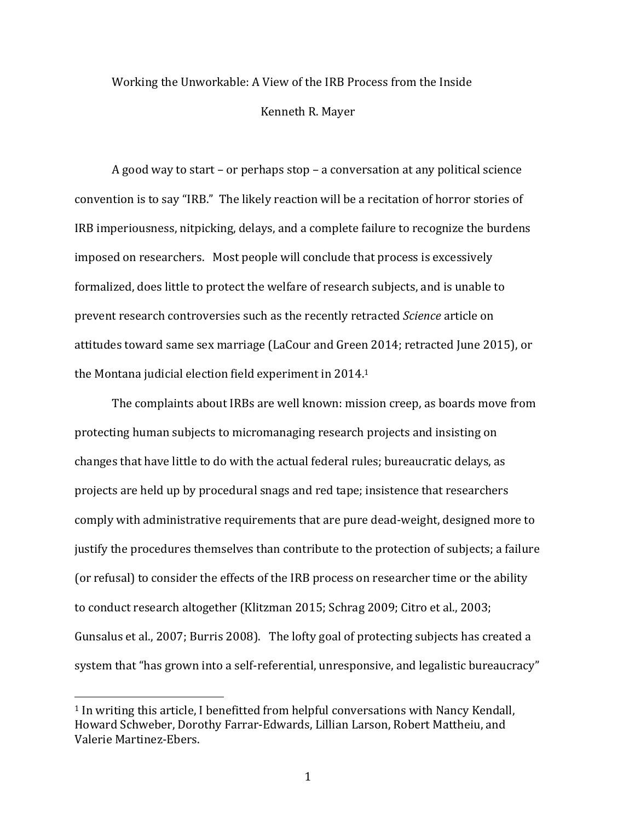# Working the Unworkable: A View of the IRB Process from the Inside Kenneth R. Mayer

A good way to start – or perhaps stop – a conversation at any political science convention is to say "IRB." The likely reaction will be a recitation of horror stories of IRB imperiousness, nitpicking, delays, and a complete failure to recognize the burdens imposed on researchers. Most people will conclude that process is excessively formalized, does little to protect the welfare of research subjects, and is unable to prevent research controversies such as the recently retracted *Science* article on attitudes toward same sex marriage (LaCour and Green 2014; retracted June 2015), or the Montana judicial election field experiment in 2014.<sup>1</sup>

The complaints about IRBs are well known: mission creep, as boards move from protecting human subjects to micromanaging research projects and insisting on changes that have little to do with the actual federal rules; bureaucratic delays, as projects are held up by procedural snags and red tape; insistence that researchers comply with administrative requirements that are pure dead-weight, designed more to justify the procedures themselves than contribute to the protection of subjects; a failure (or refusal) to consider the effects of the IRB process on researcher time or the ability to conduct research altogether (Klitzman 2015; Schrag 2009; Citro et al., 2003; Gunsalus et al., 2007; Burris 2008). The lofty goal of protecting subjects has created a system that "has grown into a self-referential, unresponsive, and legalistic bureaucracy"

 $1$  In writing this article, I benefitted from helpful conversations with Nancy Kendall, Howard Schweber, Dorothy Farrar-Edwards, Lillian Larson, Robert Mattheiu, and Valerie Martinez-Ebers.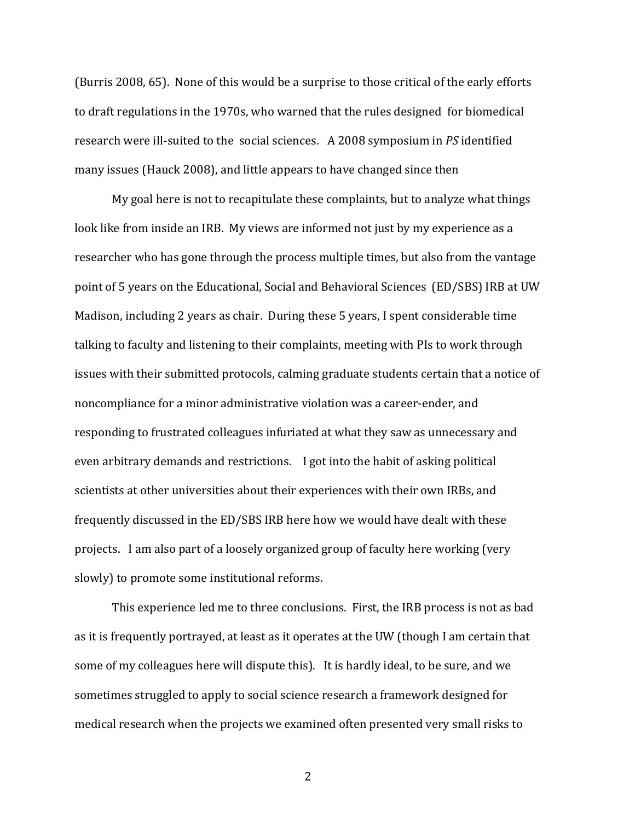(Burris 2008, 65). None of this would be a surprise to those critical of the early efforts to draft regulations in the 1970s, who warned that the rules designed for biomedical research were ill-suited to the social sciences. A 2008 symposium in PS identified many issues (Hauck 2008), and little appears to have changed since then

My goal here is not to recapitulate these complaints, but to analyze what things look like from inside an IRB. My views are informed not just by my experience as a researcher who has gone through the process multiple times, but also from the vantage point of 5 years on the Educational, Social and Behavioral Sciences (ED/SBS) IRB at UW Madison, including 2 years as chair. During these 5 years, I spent considerable time talking to faculty and listening to their complaints, meeting with PIs to work through issues with their submitted protocols, calming graduate students certain that a notice of noncompliance for a minor administrative violation was a career-ender, and responding to frustrated colleagues infuriated at what they saw as unnecessary and even arbitrary demands and restrictions. I got into the habit of asking political scientists at other universities about their experiences with their own IRBs, and frequently discussed in the ED/SBS IRB here how we would have dealt with these projects. I am also part of a loosely organized group of faculty here working (very slowly) to promote some institutional reforms.

This experience led me to three conclusions. First, the IRB process is not as bad as it is frequently portrayed, at least as it operates at the UW (though I am certain that some of my colleagues here will dispute this). It is hardly ideal, to be sure, and we sometimes struggled to apply to social science research a framework designed for medical research when the projects we examined often presented very small risks to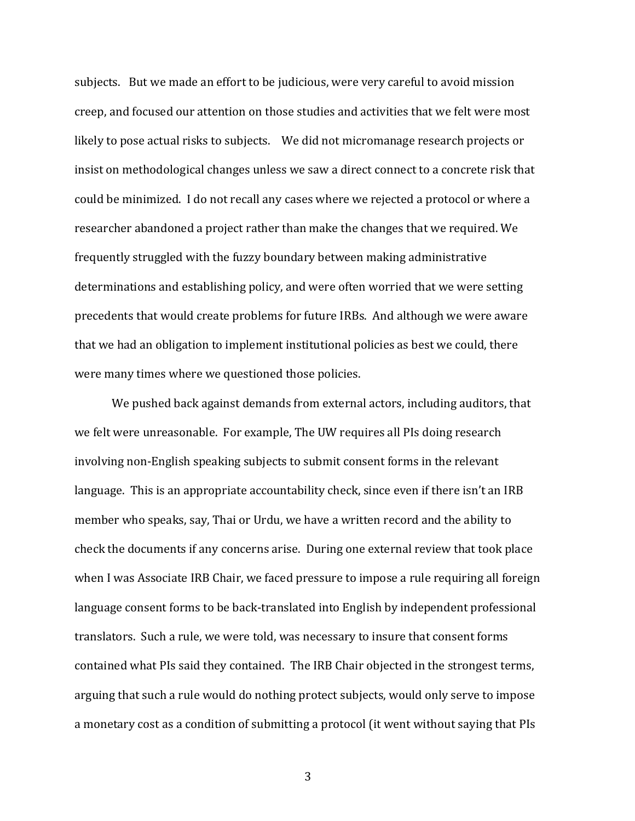subjects. But we made an effort to be judicious, were very careful to avoid mission creep, and focused our attention on those studies and activities that we felt were most likely to pose actual risks to subjects. We did not micromanage research projects or insist on methodological changes unless we saw a direct connect to a concrete risk that could be minimized. I do not recall any cases where we rejected a protocol or where a researcher abandoned a project rather than make the changes that we required. We frequently struggled with the fuzzy boundary between making administrative determinations and establishing policy, and were often worried that we were setting precedents that would create problems for future IRBs. And although we were aware that we had an obligation to implement institutional policies as best we could, there were many times where we questioned those policies.

We pushed back against demands from external actors, including auditors, that we felt were unreasonable. For example, The UW requires all PIs doing research involving non-English speaking subjects to submit consent forms in the relevant language. This is an appropriate accountability check, since even if there isn't an IRB member who speaks, say, Thai or Urdu, we have a written record and the ability to check the documents if any concerns arise. During one external review that took place when I was Associate IRB Chair, we faced pressure to impose a rule requiring all foreign language consent forms to be back-translated into English by independent professional translators. Such a rule, we were told, was necessary to insure that consent forms contained what PIs said they contained. The IRB Chair objected in the strongest terms, arguing that such a rule would do nothing protect subjects, would only serve to impose a monetary cost as a condition of submitting a protocol (it went without saying that PIs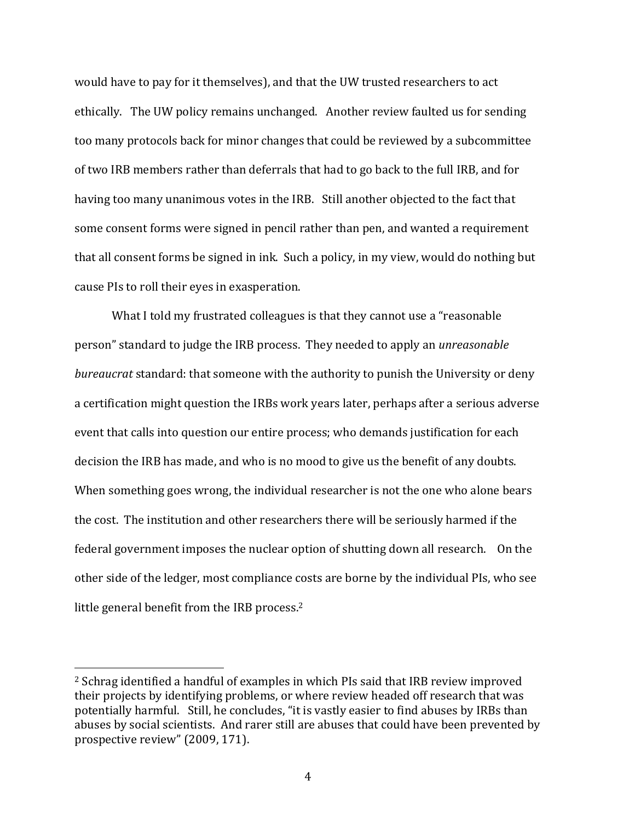would have to pay for it themselves), and that the UW trusted researchers to act ethically. The UW policy remains unchanged. Another review faulted us for sending too many protocols back for minor changes that could be reviewed by a subcommittee of two IRB members rather than deferrals that had to go back to the full IRB, and for having too many unanimous votes in the IRB. Still another objected to the fact that some consent forms were signed in pencil rather than pen, and wanted a requirement that all consent forms be signed in ink. Such a policy, in my view, would do nothing but cause PIs to roll their eyes in exasperation.

What I told my frustrated colleagues is that they cannot use a "reasonable" person" standard to judge the IRB process. They needed to apply an *unreasonable bureaucrat* standard: that someone with the authority to punish the University or deny a certification might question the IRBs work years later, perhaps after a serious adverse event that calls into question our entire process; who demands justification for each decision the IRB has made, and who is no mood to give us the benefit of any doubts. When something goes wrong, the individual researcher is not the one who alone bears the cost. The institution and other researchers there will be seriously harmed if the federal government imposes the nuclear option of shutting down all research. On the other side of the ledger, most compliance costs are borne by the individual PIs, who see little general benefit from the IRB process.<sup>2</sup>

<sup>&</sup>lt;sup>2</sup> Schrag identified a handful of examples in which PIs said that IRB review improved their projects by identifying problems, or where review headed off research that was potentially harmful. Still, he concludes, "it is vastly easier to find abuses by IRBs than abuses by social scientists. And rarer still are abuses that could have been prevented by prospective review" (2009, 171).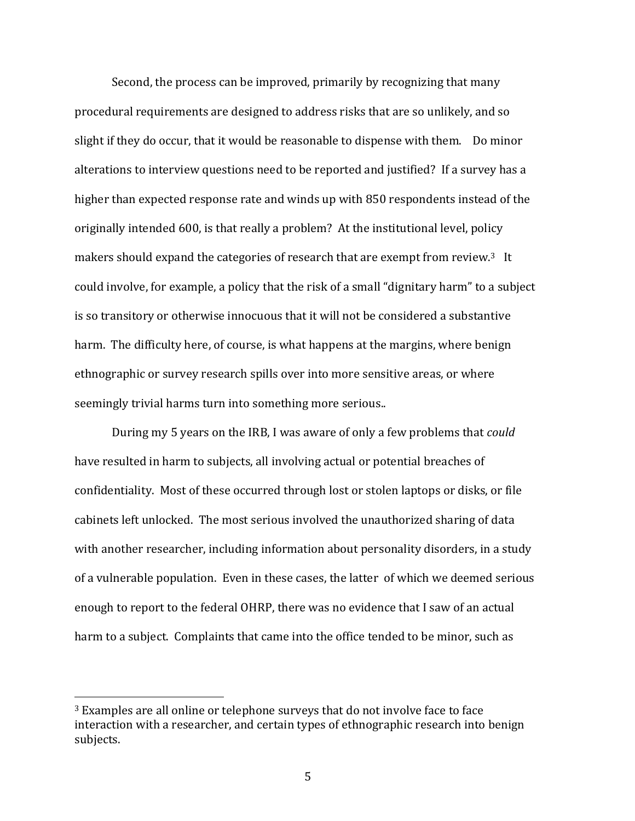Second, the process can be improved, primarily by recognizing that many procedural requirements are designed to address risks that are so unlikely, and so slight if they do occur, that it would be reasonable to dispense with them. Do minor alterations to interview questions need to be reported and justified? If a survey has a higher than expected response rate and winds up with 850 respondents instead of the originally intended 600, is that really a problem? At the institutional level, policy makers should expand the categories of research that are exempt from review.<sup>3</sup> It could involve, for example, a policy that the risk of a small "dignitary harm" to a subject is so transitory or otherwise innocuous that it will not be considered a substantive harm. The difficulty here, of course, is what happens at the margins, where benign ethnographic or survey research spills over into more sensitive areas, or where seemingly trivial harms turn into something more serious..

During my 5 years on the IRB, I was aware of only a few problems that *could* have resulted in harm to subjects, all involving actual or potential breaches of confidentiality. Most of these occurred through lost or stolen laptops or disks, or file cabinets left unlocked. The most serious involved the unauthorized sharing of data with another researcher, including information about personality disorders, in a study of a vulnerable population. Even in these cases, the latter of which we deemed serious enough to report to the federal OHRP, there was no evidence that I saw of an actual harm to a subject. Complaints that came into the office tended to be minor, such as

<sup>&</sup>lt;sup>3</sup> Examples are all online or telephone surveys that do not involve face to face interaction with a researcher, and certain types of ethnographic research into benign subjects.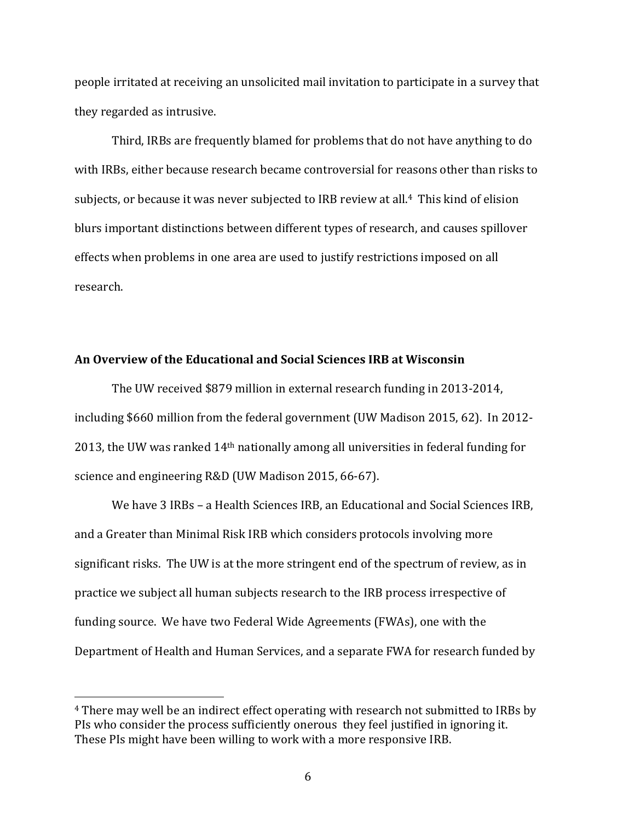people irritated at receiving an unsolicited mail invitation to participate in a survey that they regarded as intrusive.

Third, IRBs are frequently blamed for problems that do not have anything to do with IRBs, either because research became controversial for reasons other than risks to subjects, or because it was never subjected to IRB review at all.<sup>4</sup> This kind of elision blurs important distinctions between different types of research, and causes spillover effects when problems in one area are used to justify restrictions imposed on all research.

## **An Overview of the Educational and Social Sciences IRB at Wisconsin**

The UW received \$879 million in external research funding in 2013-2014, including \$660 million from the federal government (UW Madison 2015, 62). In 2012-2013, the UW was ranked  $14<sup>th</sup>$  nationally among all universities in federal funding for science and engineering R&D (UW Madison 2015, 66-67).

We have 3 IRBs – a Health Sciences IRB, an Educational and Social Sciences IRB, and a Greater than Minimal Risk IRB which considers protocols involving more significant risks. The UW is at the more stringent end of the spectrum of review, as in practice we subject all human subjects research to the IRB process irrespective of funding source. We have two Federal Wide Agreements (FWAs), one with the Department of Health and Human Services, and a separate FWA for research funded by

<sup>&</sup>lt;sup>4</sup> There may well be an indirect effect operating with research not submitted to IRBs by PIs who consider the process sufficiently onerous they feel justified in ignoring it. These PIs might have been willing to work with a more responsive IRB.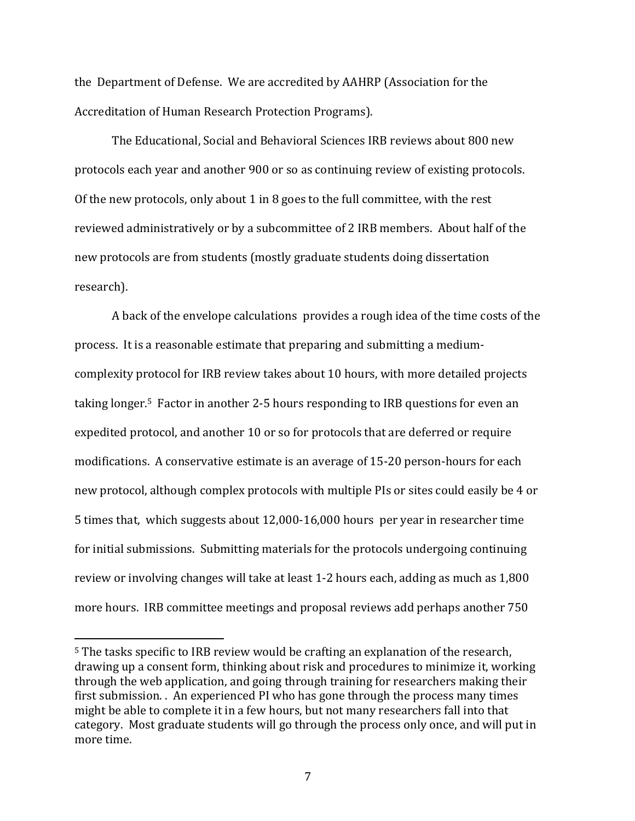the Department of Defense. We are accredited by AAHRP (Association for the Accreditation of Human Research Protection Programs).

The Educational, Social and Behavioral Sciences IRB reviews about 800 new protocols each year and another 900 or so as continuing review of existing protocols. Of the new protocols, only about 1 in 8 goes to the full committee, with the rest reviewed administratively or by a subcommittee of 2 IRB members. About half of the new protocols are from students (mostly graduate students doing dissertation research).

A back of the envelope calculations provides a rough idea of the time costs of the process. It is a reasonable estimate that preparing and submitting a mediumcomplexity protocol for IRB review takes about 10 hours, with more detailed projects taking longer.<sup>5</sup> Factor in another 2-5 hours responding to IRB questions for even an expedited protocol, and another 10 or so for protocols that are deferred or require modifications. A conservative estimate is an average of 15-20 person-hours for each new protocol, although complex protocols with multiple PIs or sites could easily be 4 or 5 times that, which suggests about 12,000-16,000 hours per year in researcher time for initial submissions. Submitting materials for the protocols undergoing continuing review or involving changes will take at least 1-2 hours each, adding as much as 1,800 more hours. IRB committee meetings and proposal reviews add perhaps another 750

<sup>&</sup>lt;sup>5</sup> The tasks specific to IRB review would be crafting an explanation of the research, drawing up a consent form, thinking about risk and procedures to minimize it, working through the web application, and going through training for researchers making their first submission. . An experienced PI who has gone through the process many times might be able to complete it in a few hours, but not many researchers fall into that category. Most graduate students will go through the process only once, and will put in more time.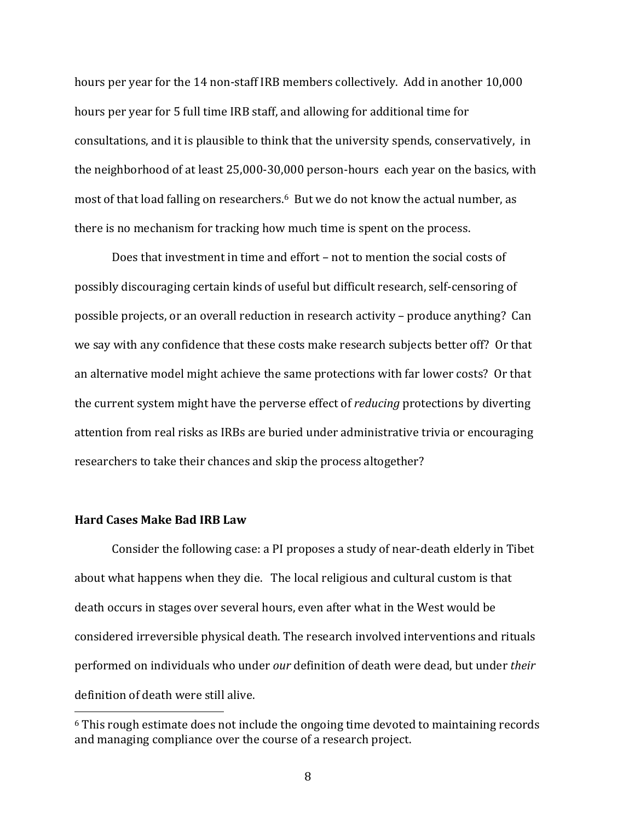hours per year for the 14 non-staff IRB members collectively. Add in another 10,000 hours per year for 5 full time IRB staff, and allowing for additional time for consultations, and it is plausible to think that the university spends, conservatively, in the neighborhood of at least  $25,000-30,000$  person-hours each year on the basics, with most of that load falling on researchers.<sup>6</sup> But we do not know the actual number, as there is no mechanism for tracking how much time is spent on the process.

Does that investment in time and effort – not to mention the social costs of possibly discouraging certain kinds of useful but difficult research, self-censoring of possible projects, or an overall reduction in research activity – produce anything? Can we say with any confidence that these costs make research subjects better off? Or that an alternative model might achieve the same protections with far lower costs? Or that the current system might have the perverse effect of *reducing* protections by diverting attention from real risks as IRBs are buried under administrative trivia or encouraging researchers to take their chances and skip the process altogether?

### **Hard Cases Make Bad IRB Law**

 

Consider the following case: a PI proposes a study of near-death elderly in Tibet about what happens when they die. The local religious and cultural custom is that death occurs in stages over several hours, even after what in the West would be considered irreversible physical death. The research involved interventions and rituals performed on individuals who under *our* definition of death were dead, but under *their* definition of death were still alive.

 $6$  This rough estimate does not include the ongoing time devoted to maintaining records and managing compliance over the course of a research project.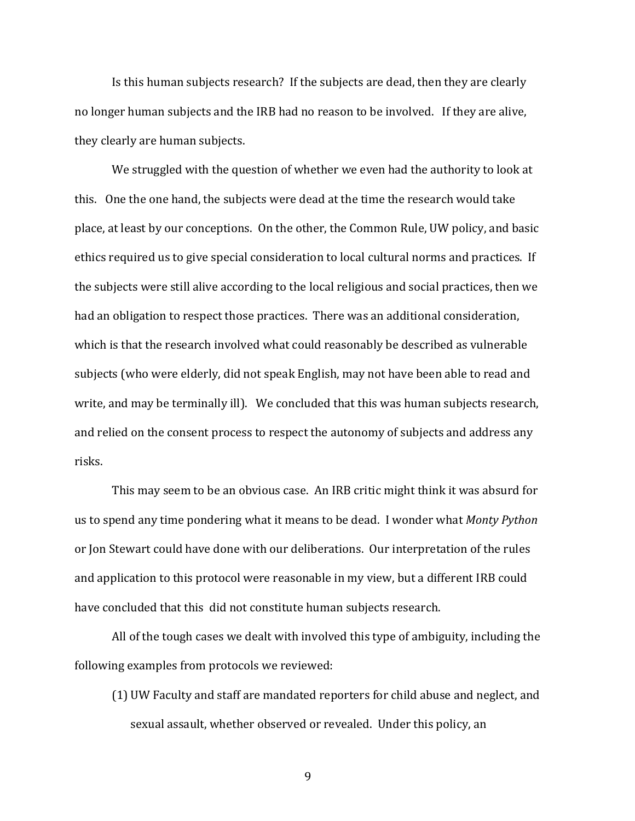Is this human subjects research? If the subjects are dead, then they are clearly no longer human subjects and the IRB had no reason to be involved. If they are alive, they clearly are human subjects.

We struggled with the question of whether we even had the authority to look at this. One the one hand, the subjects were dead at the time the research would take place, at least by our conceptions. On the other, the Common Rule, UW policy, and basic ethics required us to give special consideration to local cultural norms and practices. If the subjects were still alive according to the local religious and social practices, then we had an obligation to respect those practices. There was an additional consideration, which is that the research involved what could reasonably be described as vulnerable subjects (who were elderly, did not speak English, may not have been able to read and write, and may be terminally ill). We concluded that this was human subjects research, and relied on the consent process to respect the autonomy of subjects and address any risks.

This may seem to be an obvious case. An IRB critic might think it was absurd for us to spend any time pondering what it means to be dead. I wonder what *Monty Python* or Ion Stewart could have done with our deliberations. Our interpretation of the rules and application to this protocol were reasonable in my view, but a different IRB could have concluded that this did not constitute human subjects research.

All of the tough cases we dealt with involved this type of ambiguity, including the following examples from protocols we reviewed:

(1) UW Faculty and staff are mandated reporters for child abuse and neglect, and sexual assault, whether observed or revealed. Under this policy, an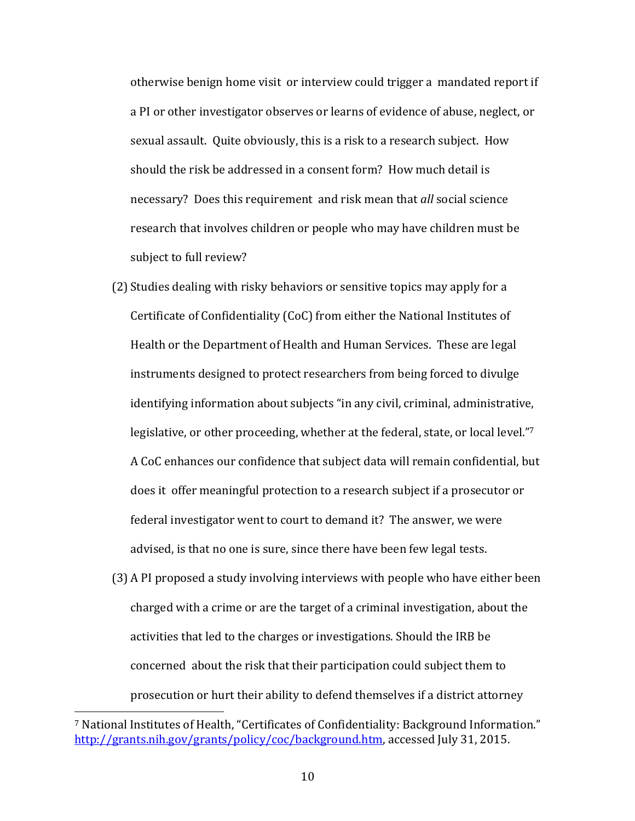otherwise benign home visit or interview could trigger a mandated report if a PI or other investigator observes or learns of evidence of abuse, neglect, or sexual assault. Quite obviously, this is a risk to a research subject. How should the risk be addressed in a consent form? How much detail is necessary? Does this requirement and risk mean that *all* social science research that involves children or people who may have children must be subject to full review?

- (2) Studies dealing with risky behaviors or sensitive topics may apply for a Certificate of Confidentiality (CoC) from either the National Institutes of Health or the Department of Health and Human Services. These are legal instruments designed to protect researchers from being forced to divulge identifying information about subjects "in any civil, criminal, administrative, legislative, or other proceeding, whether at the federal, state, or local level."7 A CoC enhances our confidence that subject data will remain confidential, but does it offer meaningful protection to a research subject if a prosecutor or federal investigator went to court to demand it? The answer, we were advised, is that no one is sure, since there have been few legal tests.
- (3) A PI proposed a study involving interviews with people who have either been charged with a crime or are the target of a criminal investigation, about the activities that led to the charges or investigations. Should the IRB be concerned about the risk that their participation could subject them to prosecution or hurt their ability to defend themselves if a district attorney

<sup>&</sup>lt;sup>7</sup> National Institutes of Health, "Certificates of Confidentiality: Background Information." http://grants.nih.gov/grants/policy/coc/background.htm, accessed July 31, 2015.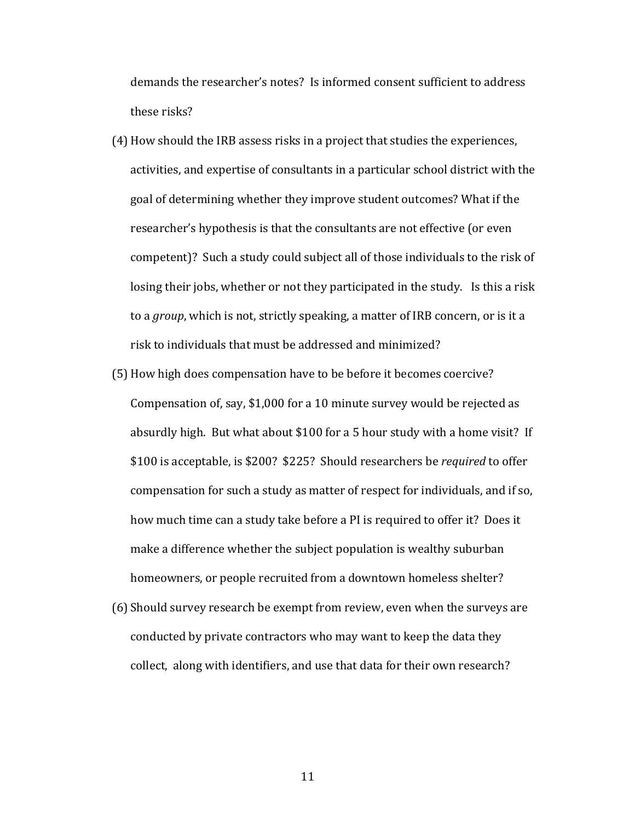demands the researcher's notes? Is informed consent sufficient to address these risks?

- (4) How should the IRB assess risks in a project that studies the experiences, activities, and expertise of consultants in a particular school district with the goal of determining whether they improve student outcomes? What if the researcher's hypothesis is that the consultants are not effective (or even competent)? Such a study could subject all of those individuals to the risk of losing their jobs, whether or not they participated in the study. Is this a risk to a *group*, which is not, strictly speaking, a matter of IRB concern, or is it a risk to individuals that must be addressed and minimized?
- (5) How high does compensation have to be before it becomes coercive? Compensation of, say,  $$1,000$  for a 10 minute survey would be rejected as absurdly high. But what about \$100 for a 5 hour study with a home visit? If \$100 is acceptable, is \$200? \$225? Should researchers be *required* to offer compensation for such a study as matter of respect for individuals, and if so, how much time can a study take before a PI is required to offer it? Does it make a difference whether the subject population is wealthy suburban homeowners, or people recruited from a downtown homeless shelter?
- (6) Should survey research be exempt from review, even when the surveys are conducted by private contractors who may want to keep the data they collect, along with identifiers, and use that data for their own research?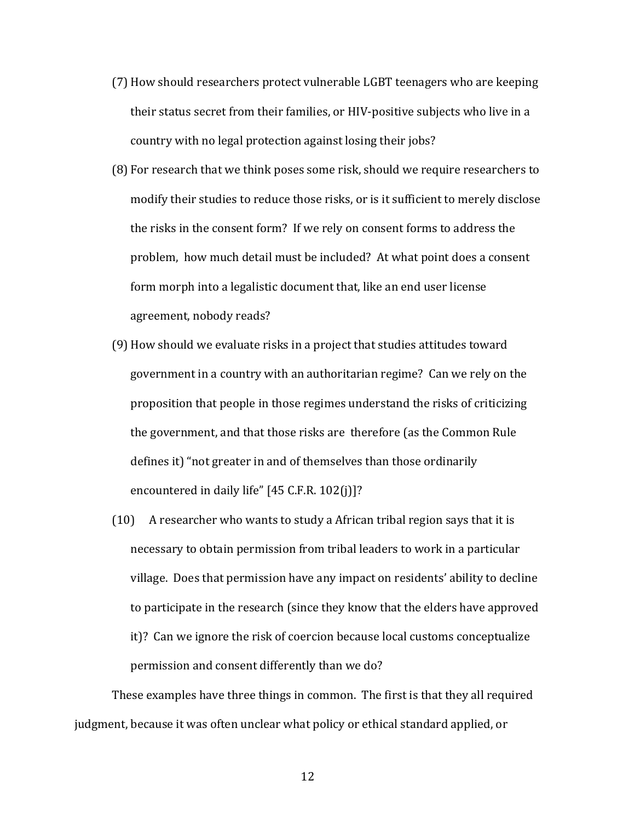- (7) How should researchers protect vulnerable LGBT teenagers who are keeping their status secret from their families, or HIV-positive subjects who live in a country with no legal protection against losing their jobs?
- (8) For research that we think poses some risk, should we require researchers to modify their studies to reduce those risks, or is it sufficient to merely disclose the risks in the consent form? If we rely on consent forms to address the problem, how much detail must be included? At what point does a consent form morph into a legalistic document that, like an end user license agreement, nobody reads?
- (9) How should we evaluate risks in a project that studies attitudes toward government in a country with an authoritarian regime? Can we rely on the proposition that people in those regimes understand the risks of criticizing the government, and that those risks are therefore (as the Common Rule defines it) "not greater in and of themselves than those ordinarily encountered in daily life"  $[45$  C.F.R. 102(j)]?
- $(10)$  A researcher who wants to study a African tribal region says that it is necessary to obtain permission from tribal leaders to work in a particular village. Does that permission have any impact on residents' ability to decline to participate in the research (since they know that the elders have approved it)? Can we ignore the risk of coercion because local customs conceptualize permission and consent differently than we do?

These examples have three things in common. The first is that they all required judgment, because it was often unclear what policy or ethical standard applied, or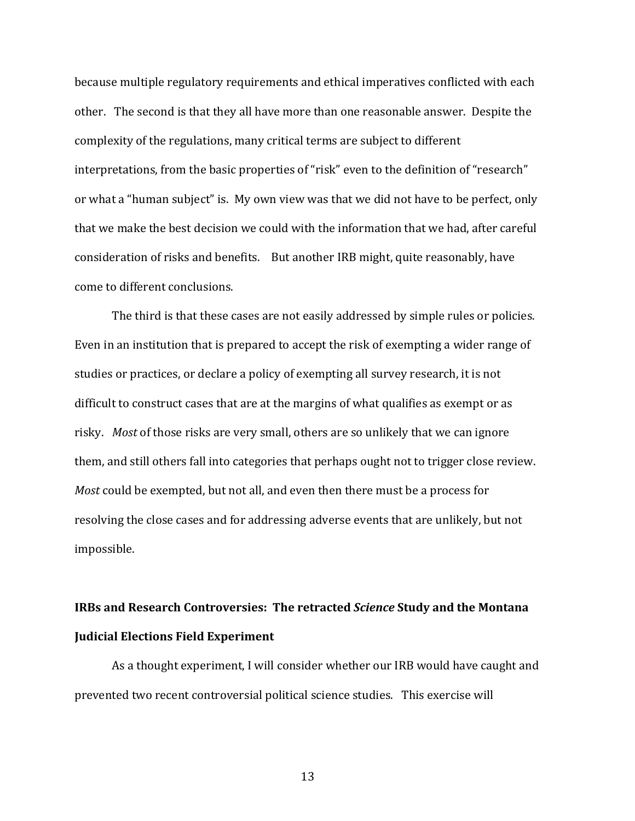because multiple regulatory requirements and ethical imperatives conflicted with each other. The second is that they all have more than one reasonable answer. Despite the complexity of the regulations, many critical terms are subject to different interpretations, from the basic properties of "risk" even to the definition of "research" or what a "human subject" is. My own view was that we did not have to be perfect, only that we make the best decision we could with the information that we had, after careful consideration of risks and benefits. But another IRB might, quite reasonably, have come to different conclusions.

The third is that these cases are not easily addressed by simple rules or policies. Even in an institution that is prepared to accept the risk of exempting a wider range of studies or practices, or declare a policy of exempting all survey research, it is not difficult to construct cases that are at the margins of what qualifies as exempt or as risky. *Most* of those risks are very small, others are so unlikely that we can ignore them, and still others fall into categories that perhaps ought not to trigger close review. *Most* could be exempted, but not all, and even then there must be a process for resolving the close cases and for addressing adverse events that are unlikely, but not impossible. 

# **IRBs and Research Controversies: The retracted** *Science* **Study and the Montana Judicial Elections Field Experiment**

As a thought experiment, I will consider whether our IRB would have caught and prevented two recent controversial political science studies. This exercise will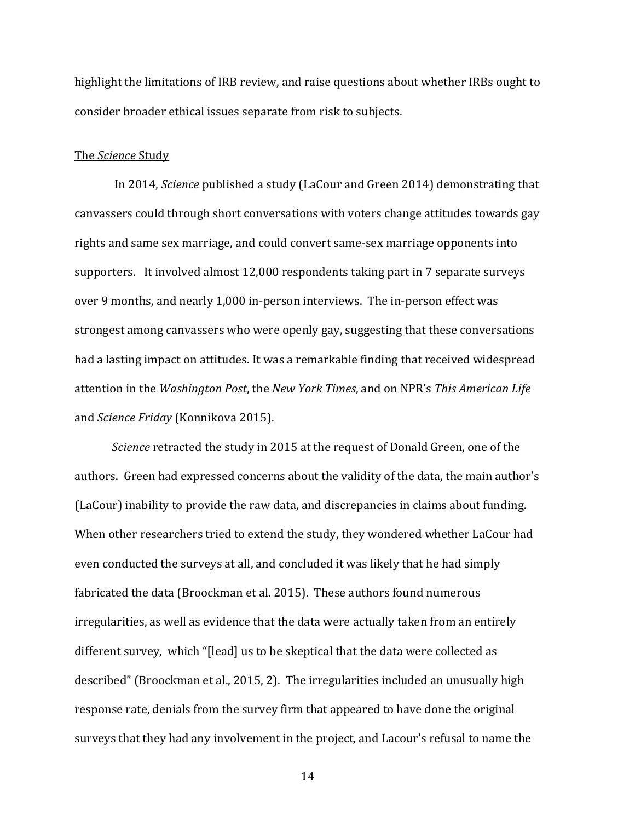highlight the limitations of IRB review, and raise questions about whether IRBs ought to consider broader ethical issues separate from risk to subjects.

#### The *Science* Study

In 2014, *Science* published a study (LaCour and Green 2014) demonstrating that canvassers could through short conversations with voters change attitudes towards gay rights and same sex marriage, and could convert same-sex marriage opponents into supporters. It involved almost 12,000 respondents taking part in 7 separate surveys over 9 months, and nearly 1,000 in-person interviews. The in-person effect was strongest among canvassers who were openly gay, suggesting that these conversations had a lasting impact on attitudes. It was a remarkable finding that received widespread attention in the *Washington Post*, the *New York Times*, and on NPR's *This American Life* and *Science Friday* (Konnikova 2015).

*Science* retracted the study in 2015 at the request of Donald Green, one of the authors. Green had expressed concerns about the validity of the data, the main author's (LaCour) inability to provide the raw data, and discrepancies in claims about funding. When other researchers tried to extend the study, they wondered whether LaCour had even conducted the surveys at all, and concluded it was likely that he had simply fabricated the data (Broockman et al. 2015). These authors found numerous irregularities, as well as evidence that the data were actually taken from an entirely different survey, which "[lead] us to be skeptical that the data were collected as described" (Broockman et al., 2015, 2). The irregularities included an unusually high response rate, denials from the survey firm that appeared to have done the original surveys that they had any involvement in the project, and Lacour's refusal to name the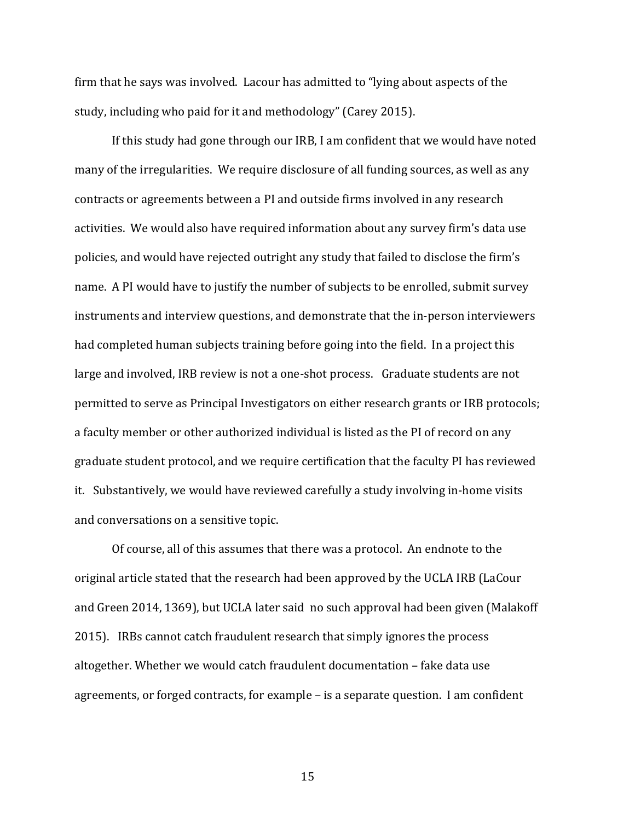firm that he says was involved. Lacour has admitted to "lying about aspects of the study, including who paid for it and methodology" (Carey 2015).

If this study had gone through our IRB, I am confident that we would have noted many of the irregularities. We require disclosure of all funding sources, as well as any contracts or agreements between a PI and outside firms involved in any research activities. We would also have required information about any survey firm's data use policies, and would have rejected outright any study that failed to disclose the firm's name. A PI would have to justify the number of subjects to be enrolled, submit survey instruments and interview questions, and demonstrate that the in-person interviewers had completed human subjects training before going into the field. In a project this large and involved, IRB review is not a one-shot process. Graduate students are not permitted to serve as Principal Investigators on either research grants or IRB protocols; a faculty member or other authorized individual is listed as the PI of record on any graduate student protocol, and we require certification that the faculty PI has reviewed it. Substantively, we would have reviewed carefully a study involving in-home visits and conversations on a sensitive topic.

Of course, all of this assumes that there was a protocol. An endnote to the original article stated that the research had been approved by the UCLA IRB (LaCour and Green 2014, 1369), but UCLA later said no such approval had been given (Malakoff 2015). IRBs cannot catch fraudulent research that simply ignores the process altogether. Whether we would catch fraudulent documentation – fake data use agreements, or forged contracts, for example – is a separate question. I am confident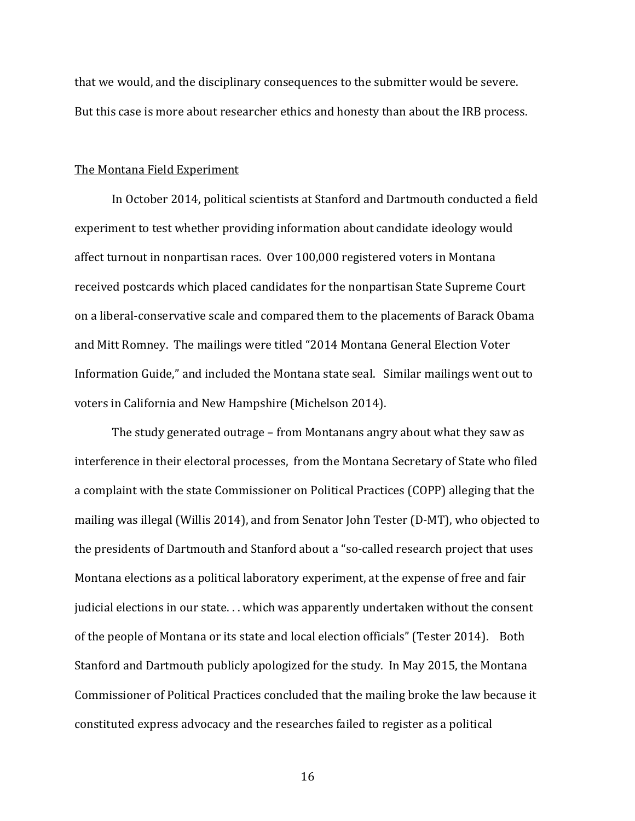that we would, and the disciplinary consequences to the submitter would be severe. But this case is more about researcher ethics and honesty than about the IRB process.

#### The Montana Field Experiment

In October 2014, political scientists at Stanford and Dartmouth conducted a field experiment to test whether providing information about candidate ideology would affect turnout in nonpartisan races. Over 100,000 registered voters in Montana received postcards which placed candidates for the nonpartisan State Supreme Court on a liberal-conservative scale and compared them to the placements of Barack Obama and Mitt Romney. The mailings were titled "2014 Montana General Election Voter Information Guide," and included the Montana state seal. Similar mailings went out to voters in California and New Hampshire (Michelson 2014).

The study generated outrage – from Montanans angry about what they saw as interference in their electoral processes, from the Montana Secretary of State who filed a complaint with the state Commissioner on Political Practices (COPP) alleging that the mailing was illegal (Willis 2014), and from Senator John Tester (D-MT), who objected to the presidents of Dartmouth and Stanford about a "so-called research project that uses Montana elections as a political laboratory experiment, at the expense of free and fair judicial elections in our state. . . which was apparently undertaken without the consent of the people of Montana or its state and local election officials" (Tester 2014). Both Stanford and Dartmouth publicly apologized for the study. In May 2015, the Montana Commissioner of Political Practices concluded that the mailing broke the law because it constituted express advocacy and the researches failed to register as a political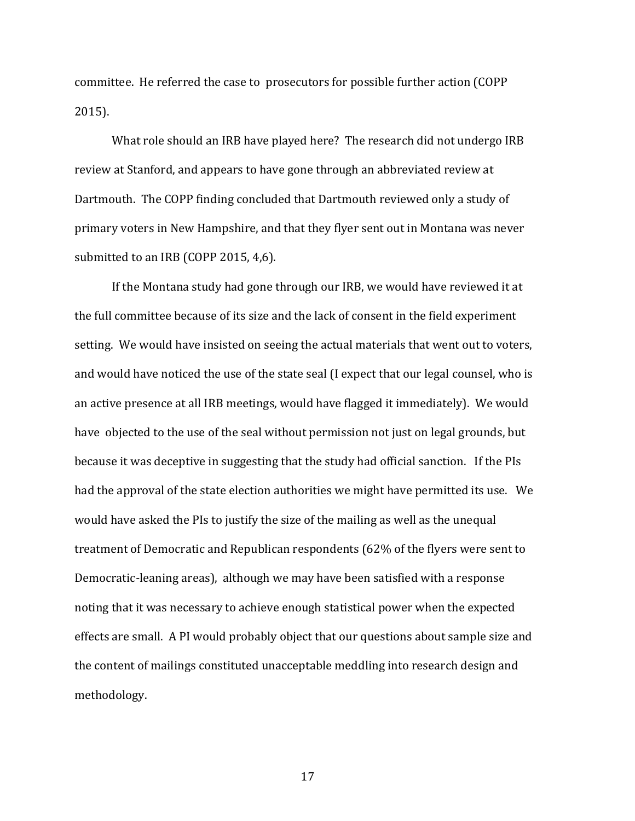committee. He referred the case to prosecutors for possible further action (COPP) 2015).

What role should an IRB have played here? The research did not undergo IRB review at Stanford, and appears to have gone through an abbreviated review at Dartmouth. The COPP finding concluded that Dartmouth reviewed only a study of primary voters in New Hampshire, and that they flyer sent out in Montana was never submitted to an IRB (COPP 2015, 4,6).

If the Montana study had gone through our IRB, we would have reviewed it at the full committee because of its size and the lack of consent in the field experiment setting. We would have insisted on seeing the actual materials that went out to voters, and would have noticed the use of the state seal (I expect that our legal counsel, who is an active presence at all IRB meetings, would have flagged it immediately). We would have objected to the use of the seal without permission not just on legal grounds, but because it was deceptive in suggesting that the study had official sanction. If the PIs had the approval of the state election authorities we might have permitted its use. We would have asked the PIs to justify the size of the mailing as well as the unequal treatment of Democratic and Republican respondents (62% of the flyers were sent to Democratic-leaning areas), although we may have been satisfied with a response noting that it was necessary to achieve enough statistical power when the expected effects are small. A PI would probably object that our questions about sample size and the content of mailings constituted unacceptable meddling into research design and methodology.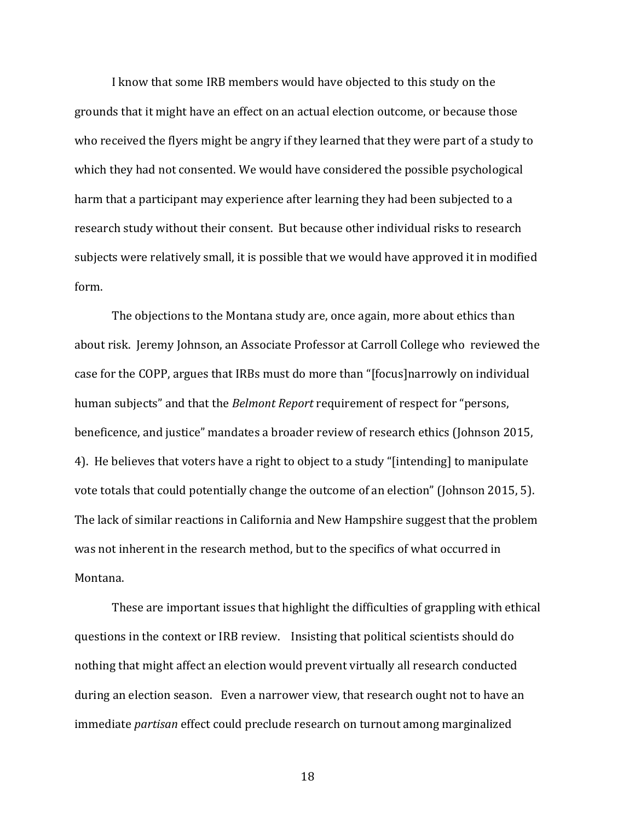I know that some IRB members would have objected to this study on the grounds that it might have an effect on an actual election outcome, or because those who received the flyers might be angry if they learned that they were part of a study to which they had not consented. We would have considered the possible psychological harm that a participant may experience after learning they had been subjected to a research study without their consent. But because other individual risks to research subjects were relatively small, it is possible that we would have approved it in modified form.

The objections to the Montana study are, once again, more about ethics than about risk. Jeremy Johnson, an Associate Professor at Carroll College who reviewed the case for the COPP, argues that IRBs must do more than "[focus]narrowly on individual human subjects" and that the *Belmont Report* requirement of respect for "persons, beneficence, and justice" mandates a broader review of research ethics (Johnson 2015, 4). He believes that voters have a right to object to a study "[intending] to manipulate vote totals that could potentially change the outcome of an election" (Johnson 2015, 5). The lack of similar reactions in California and New Hampshire suggest that the problem was not inherent in the research method, but to the specifics of what occurred in Montana.

These are important issues that highlight the difficulties of grappling with ethical questions in the context or IRB review. Insisting that political scientists should do nothing that might affect an election would prevent virtually all research conducted during an election season. Even a narrower view, that research ought not to have an immediate *partisan* effect could preclude research on turnout among marginalized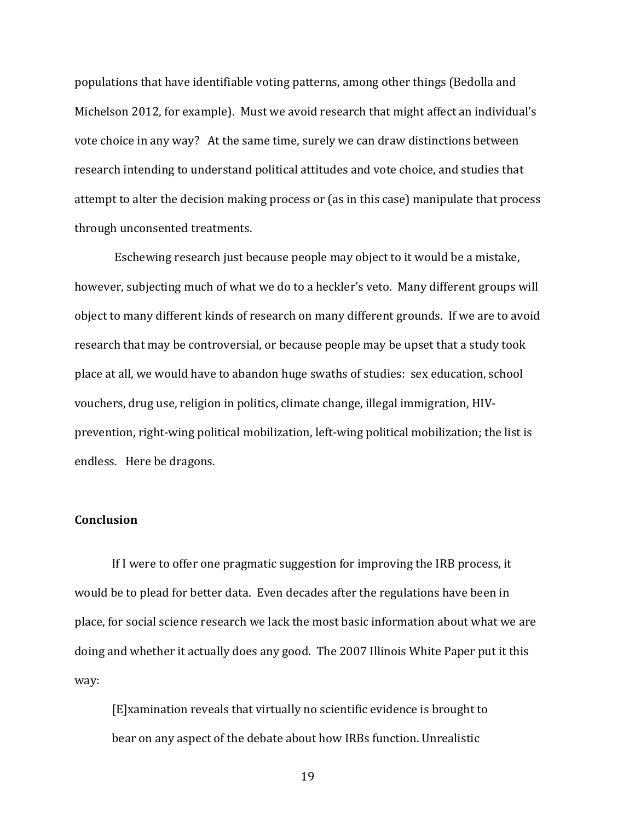populations that have identifiable voting patterns, among other things (Bedolla and Michelson 2012, for example). Must we avoid research that might affect an individual's vote choice in any way? At the same time, surely we can draw distinctions between research intending to understand political attitudes and vote choice, and studies that attempt to alter the decision making process or (as in this case) manipulate that process through unconsented treatments.

Eschewing research just because people may object to it would be a mistake, however, subjecting much of what we do to a heckler's veto. Many different groups will object to many different kinds of research on many different grounds. If we are to avoid research that may be controversial, or because people may be upset that a study took place at all, we would have to abandon huge swaths of studies: sex education, school vouchers, drug use, religion in politics, climate change, illegal immigration, HIVprevention, right-wing political mobilization, left-wing political mobilization; the list is endless. Here be dragons.

### **Conclusion**

If I were to offer one pragmatic suggestion for improving the IRB process, it would be to plead for better data. Even decades after the regulations have been in place, for social science research we lack the most basic information about what we are doing and whether it actually does any good. The 2007 Illinois White Paper put it this way:

[E] xamination reveals that virtually no scientific evidence is brought to bear on any aspect of the debate about how IRBs function. Unrealistic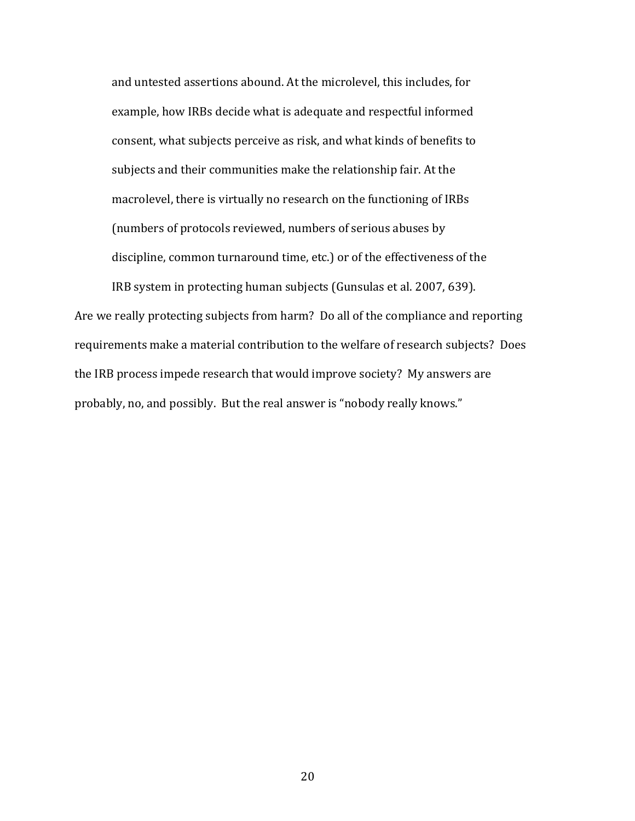and untested assertions abound. At the microlevel, this includes, for example, how IRBs decide what is adequate and respectful informed consent, what subjects perceive as risk, and what kinds of benefits to subjects and their communities make the relationship fair. At the macrolevel, there is virtually no research on the functioning of IRBs (numbers of protocols reviewed, numbers of serious abuses by discipline, common turnaround time, etc.) or of the effectiveness of the IRB system in protecting human subjects (Gunsulas et al. 2007, 639).

Are we really protecting subjects from harm? Do all of the compliance and reporting requirements make a material contribution to the welfare of research subjects? Does the IRB process impede research that would improve society? My answers are probably, no, and possibly. But the real answer is "nobody really knows."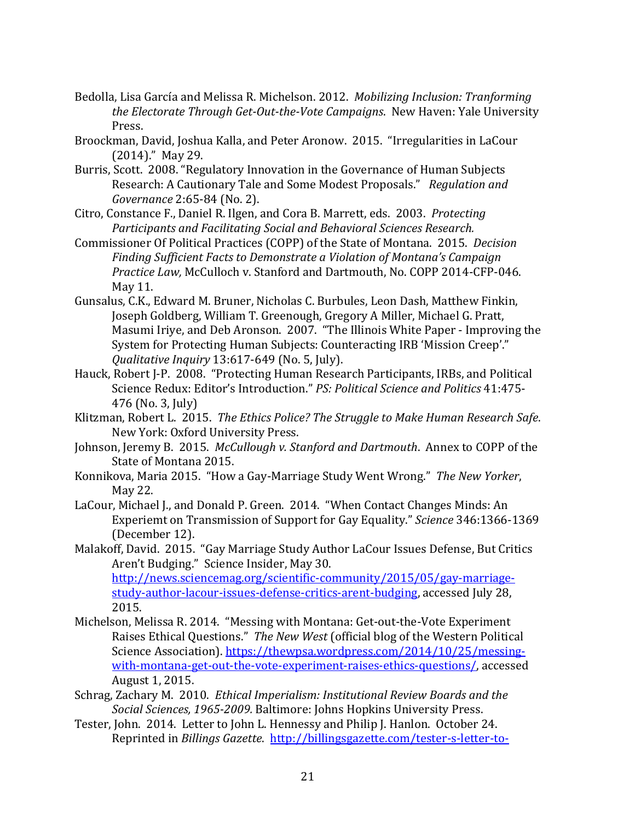- Bedolla, Lisa García and Melissa R. Michelson. 2012. *Mobilizing Inclusion: Tranforming the Electorate Through Get-Out-the-Vote Campaigns.* New Haven: Yale University Press.
- Broockman, David, Joshua Kalla, and Peter Aronow. 2015. "Irregularities in LaCour  $(2014)$ ." May 29.
- Burris, Scott. 2008. "Regulatory Innovation in the Governance of Human Subjects Research: A Cautionary Tale and Some Modest Proposals." Regulation and *Governance* 2:65-84 (No. 2).
- Citro, Constance F., Daniel R. Ilgen, and Cora B. Marrett, eds. 2003. Protecting **Participants and Facilitating Social and Behavioral Sciences Research.**
- Commissioner Of Political Practices (COPP) of the State of Montana. 2015. *Decision Finding Sufficient Facts to Demonstrate a Violation of Montana's Campaign* Practice Law, McCulloch v. Stanford and Dartmouth, No. COPP 2014-CFP-046. May 11.
- Gunsalus, C.K., Edward M. Bruner, Nicholas C. Burbules, Leon Dash, Matthew Finkin, Joseph Goldberg, William T. Greenough, Gregory A Miller, Michael G. Pratt, Masumi Iriye, and Deb Aronson. 2007. "The Illinois White Paper - Improving the System for Protecting Human Subjects: Counteracting IRB 'Mission Creep'." *Qualitative Inquiry* 13:617-649 (No. 5, July).
- Hauck, Robert J-P. 2008. "Protecting Human Research Participants, IRBs, and Political Science Redux: Editor's Introduction." *PS: Political Science and Politics* 41:475- $476$  (No. 3, July)
- Klitzman, Robert L. 2015. *The Ethics Police? The Struggle to Make Human Research Safe.* New York: Oxford University Press.
- Johnson, Jeremy B. 2015. *McCullough v. Stanford and Dartmouth*. Annex to COPP of the State of Montana 2015.
- Konnikova, Maria 2015. "How a Gay-Marriage Study Went Wrong." The New Yorker, May 22.
- LaCour, Michael J., and Donald P. Green. 2014. "When Contact Changes Minds: An Experiemt on Transmission of Support for Gay Equality." *Science* 346:1366-1369 (December 12).
- Malakoff, David. 2015. "Gay Marriage Study Author LaCour Issues Defense, But Critics Aren't Budging." Science Insider, May 30. http://news.sciencemag.org/scientific-community/2015/05/gay-marriagestudy-author-lacour-issues-defense-critics-arent-budging, accessed July 28, 2015.
- Michelson, Melissa R. 2014. "Messing with Montana: Get-out-the-Vote Experiment Raises Ethical Questions." The New West (official blog of the Western Political Science Association). https://thewpsa.wordpress.com/2014/10/25/messingwith-montana-get-out-the-vote-experiment-raises-ethics-questions/, accessed August 1, 2015.
- Schrag, Zachary M. 2010. *Ethical Imperialism: Institutional Review Boards and the* Social Sciences, 1965-2009. Baltimore: Johns Hopkins University Press.
- Tester, John. 2014. Letter to John L. Hennessy and Philip J. Hanlon. October 24. Reprinted in *Billings Gazette.* http://billingsgazette.com/tester-s-letter-to-